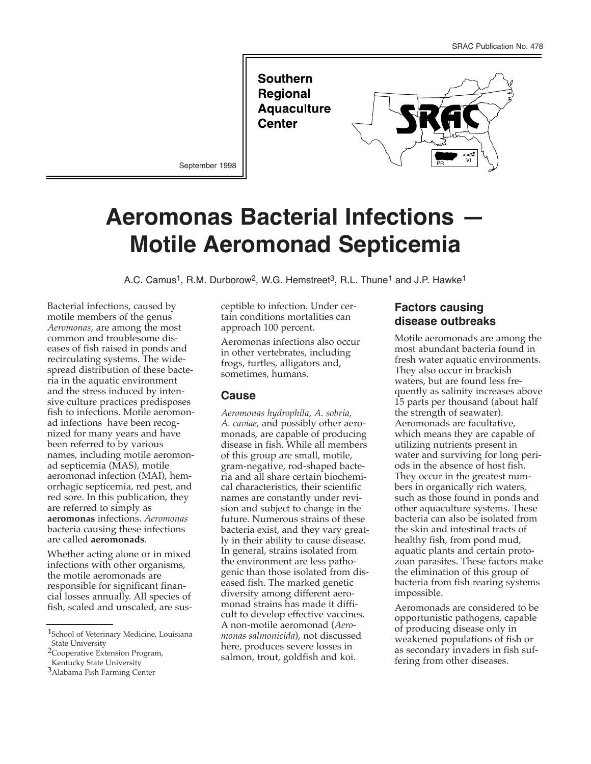**Southern Regional Aquaculture Center** 



September 1998

# **Aeromonas Bacterial Infections — Motile Aeromonad Septicemia**

A.C. Camus<sup>1</sup>, R.M. Durborow<sup>2</sup>, W.G. Hemstreet<sup>3</sup>, R.L. Thune<sup>1</sup> and J.P. Hawke<sup>1</sup>

Bacterial infections, caused by motile members of the genus *Aeromonas*, are among the most common and troublesome diseases of fish raised in ponds and recirculating systems. The widespread distribution of these bacteria in the aquatic environment and the stress induced by intensive culture practices predisposes fish to infections. Motile aeromonad infections have been recognized for many years and have been referred to by various names, including motile aeromonad septicemia (MAS), motile aeromonad infection (MAI), hemorrhagic septicemia, red pest, and red sore. In this publication, they are referred to simply as **aeromonas** infections. *Aeromonas* bacteria causing these infections are called **aeromonads**.

Whether acting alone or in mixed infections with other organisms, the motile aeromonads are responsible for significant financial losses annually. All species of fish, scaled and unscaled, are susceptible to infection. Under certain conditions mortalities can approach 100 percent.

Aeromonas infections also occur in other vertebrates, including frogs, turtles, alligators and, sometimes, humans.

#### **Cause**

*Aeromonas hydrophila, A. sobria, A. caviae*, and possibly other aeromonads, are capable of producing disease in fish. While all members of this group are small, motile, gram-negative, rod-shaped bacteria and all share certain biochemical characteristics, their scientific names are constantly under revision and subject to change in the future. Numerous strains of these bacteria exist, and they vary greatly in their ability to cause disease. In general, strains isolated from the environment are less pathogenic than those isolated from diseased fish. The marked genetic diversity among different aeromonad strains has made it difficult to develop effective vaccines. A non-motile aeromonad (*Aeromonas salmonicida*), not discussed here, produces severe losses in salmon, trout, goldfish and koi.

#### **Factors causing disease outbreaks**

Motile aeromonads are among the most abundant bacteria found in fresh water aquatic environments. They also occur in brackish waters, but are found less frequently as salinity increases above 15 parts per thousand (about half the strength of seawater). Aeromonads are facultative, which means they are capable of utilizing nutrients present in water and surviving for long periods in the absence of host fish. They occur in the greatest numbers in organically rich waters, such as those found in ponds and other aquaculture systems. These bacteria can also be isolated from the skin and intestinal tracts of healthy fish, from pond mud, aquatic plants and certain protozoan parasites. These factors make the elimination of this group of bacteria from fish rearing systems impossible.

Aeromonads are considered to be opportunistic pathogens, capable of producing disease only in weakened populations of fish or as secondary invaders in fish suffering from other diseases.

<sup>1</sup>School of Veterinary Medicine, Louisiana State University

<sup>2</sup>Cooperative Extension Program,

Kentucky State University

<sup>3</sup>Alabama Fish Farming Center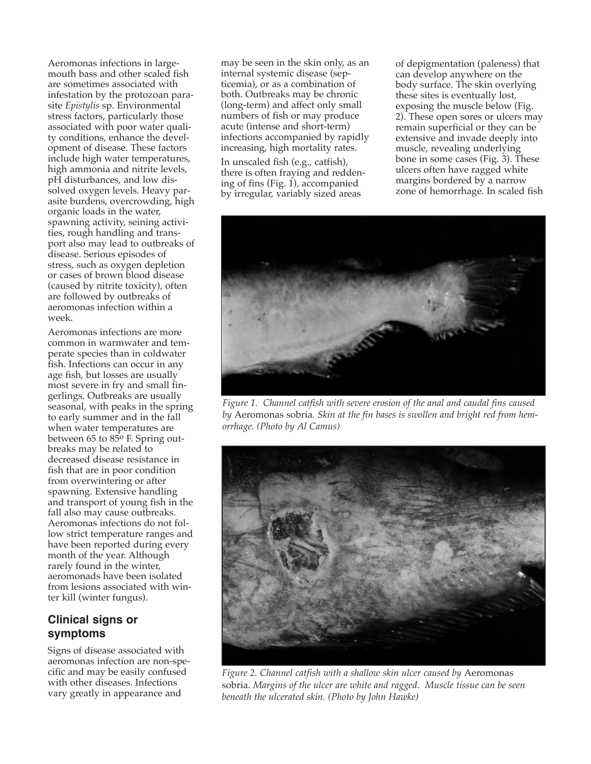Aeromonas infections in largemouth bass and other scaled fish are sometimes associated with infestation by the protozoan parasite *Epistylis* sp. Environmental stress factors, particularly those associated with poor water quality conditions, enhance the development of disease. These factors include high water temperatures, high ammonia and nitrite levels, pH disturbances, and low dissolved oxygen levels. Heavy parasite burdens, overcrowding, high organic loads in the water, spawning activity, seining activities, rough handling and transport also may lead to outbreaks of disease. Serious episodes of stress, such as oxygen depletion or cases of brown blood disease (caused by nitrite toxicity), often are followed by outbreaks of aeromonas infection within a week.

Aeromonas infections are more common in warmwater and temperate species than in coldwater fish. Infections can occur in any age fish, but losses are usually most severe in fry and small fingerlings. Outbreaks are usually seasonal, with peaks in the spring to early summer and in the fall when water temperatures are between 65 to  $85^\circ$  F. Spring outbreaks may be related to decreased disease resistance in fish that are in poor condition from overwintering or after spawning. Extensive handling and transport of young fish in the fall also may cause outbreaks. Aeromonas infections do not follow strict temperature ranges and have been reported during every month of the year. Although rarely found in the winter, aeromonads have been isolated from lesions associated with winter kill (winter fungus).

## **Clinical signs or symptoms**

Signs of disease associated with aeromonas infection are non-specific and may be easily confused with other diseases. Infections vary greatly in appearance and

may be seen in the skin only, as an internal systemic disease (septicemia), or as a combination of both. Outbreaks may be chronic (long-term) and affect only small numbers of fish or may produce acute (intense and short-term) infections accompanied by rapidly increasing, high mortality rates.

In unscaled fish (e.g., catfish), there is often fraying and reddening of fins (Fig. 1), accompanied by irregular, variably sized areas

of depigmentation (paleness) that can develop anywhere on the body surface. The skin overlying these sites is eventually lost, exposing the muscle below (Fig. 2). These open sores or ulcers may remain superficial or they can be extensive and invade deeply into muscle, revealing underlying bone in some cases (Fig. 3). These ulcers often have ragged white margins bordered by a narrow zone of hemorrhage. In scaled fish



*Figure 1. Channel catfish with severe erosion of the anal and caudal fins caused by* Aeromonas sobria*. Skin at the fin bases is swollen and bright red from hemorrhage. (Photo by Al Camus)*



*Figure 2. Channel catfish with a shallow skin ulcer caused by* Aeromonas sobria*. Margins of the ulcer are white and ragged. Muscle tissue can be seen beneath the ulcerated skin. (Photo by John Hawke)*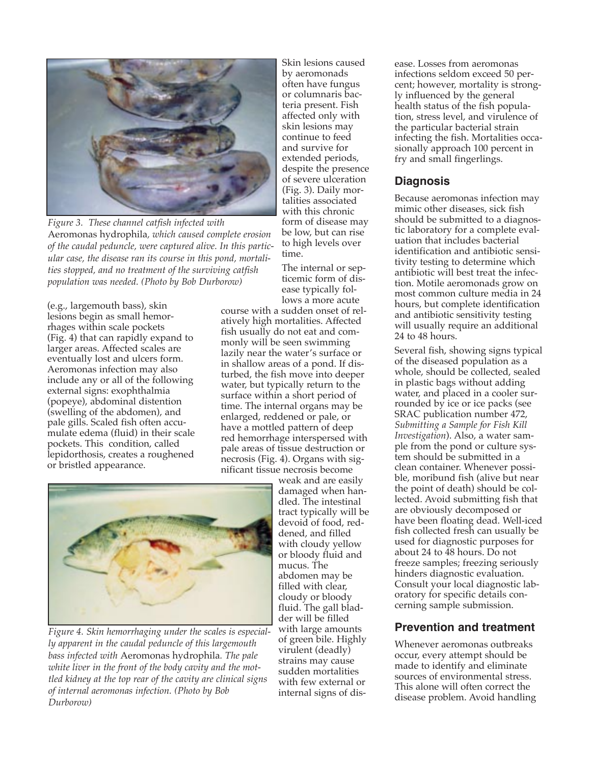

*Figure 3. These channel catfish infected with* Aeromonas hydrophila*, which caused complete erosion of the caudal peduncle, were captured alive. In this particular case, the disease ran its course in this pond, mortalities stopped, and no treatment of the surviving catfish population was needed. (Photo by Bob Durborow)*

(e.g., largemouth bass), skin lesions begin as small hemorrhages within scale pockets (Fig. 4) that can rapidly expand to larger areas. Affected scales are eventually lost and ulcers form. Aeromonas infection may also include any or all of the following external signs: exophthalmia (popeye), abdominal distention (swelling of the abdomen), and pale gills. Scaled fish often accumulate edema (fluid) in their scale pockets. This condition, called lepidorthosis, creates a roughened or bristled appearance.

Skin lesions caused by aeromonads often have fungus or columnaris bacteria present. Fish affected only with skin lesions may continue to feed and survive for extended periods, despite the presence of severe ulceration (Fig. 3). Daily mortalities associated with this chronic form of disease may be low, but can rise to high levels over time.

The internal or septicemic form of disease typically follows a more acute

course with a sudden onset of relatively high mortalities. Affected fish usually do not eat and commonly will be seen swimming lazily near the water's surface or in shallow areas of a pond. If disturbed, the fish move into deeper water, but typically return to the surface within a short period of time. The internal organs may be enlarged, reddened or pale, or have a mottled pattern of deep red hemorrhage interspersed with pale areas of tissue destruction or necrosis (Fig. 4). Organs with significant tissue necrosis become



*Figure 4. Skin hemorrhaging under the scales is especially apparent in the caudal peduncle of this largemouth bass infected with* Aeromonas hydrophila*. The pale white liver in the front of the body cavity and the mottled kidney at the top rear of the cavity are clinical signs of internal aeromonas infection. (Photo by Bob Durborow)*

weak and are easily damaged when handled. The intestinal tract typically will be devoid of food, reddened, and filled with cloudy yellow or bloody fluid and mucus. The abdomen may be filled with clear, cloudy or bloody fluid. The gall bladder will be filled with large amounts of green bile. Highly virulent (deadly) strains may cause sudden mortalities with few external or internal signs of disease. Losses from aeromonas infections seldom exceed 50 percent; however, mortality is strongly influenced by the general health status of the fish population, stress level, and virulence of the particular bacterial strain infecting the fish. Mortalities occasionally approach 100 percent in fry and small fingerlings.

## **Diagnosis**

Because aeromonas infection may mimic other diseases, sick fish should be submitted to a diagnostic laboratory for a complete evaluation that includes bacterial identification and antibiotic sensitivity testing to determine which antibiotic will best treat the infection. Motile aeromonads grow on most common culture media in 24 hours, but complete identification and antibiotic sensitivity testing will usually require an additional 24 to 48 hours.

Several fish, showing signs typical of the diseased population as a whole, should be collected, sealed in plastic bags without adding water, and placed in a cooler surrounded by ice or ice packs (see SRAC publication number 472, *Submitting a Sample for Fish Kill Investigation*). Also, a water sample from the pond or culture system should be submitted in a clean container. Whenever possible, moribund fish (alive but near the point of death) should be collected. Avoid submitting fish that are obviously decomposed or have been floating dead. Well-iced fish collected fresh can usually be used for diagnostic purposes for about 24 to 48 hours. Do not freeze samples; freezing seriously hinders diagnostic evaluation. Consult your local diagnostic laboratory for specific details concerning sample submission.

## **Prevention and treatment**

Whenever aeromonas outbreaks occur, every attempt should be made to identify and eliminate sources of environmental stress. This alone will often correct the disease problem. Avoid handling